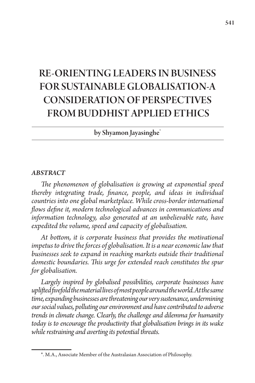# RE-ORIENTING LEADERS IN BUSINESS FOR SUSTAINABLE GLOBALISATION-A CONSIDERATION OF PERSPECTIVES FROM BUDDHIST APPLIED ETHICS

by Shyamon Jayasinghe<sup>\*</sup>

#### *ABSTRACT*

*The phenomenon of globalisation is growing at exponential speed thereby integrating trade, finance, people, and ideas in individual countries into one global marketplace. While cross-border international flows define it, modern technological advances in communications and information technology, also generated at an unbelievable rate, have expedited the volume, speed and capacity of globalisation.* 

*At bottom, it is corporate business that provides the motivational impetus to drive the forces of globalisation. It is a near economic law that businesses seek to expand in reaching markets outside their traditional domestic boundaries. This urge for extended reach constitutes the spur for globalisation.* 

*Largely inspired by globalised possibilities, corporate businesses have uplifted fivefold the material lives of most people around the world. At the same time, expanding businesses are threatening our very sustenance, undermining our social values, polluting our environment and have contributed to adverse trends in climate change. Clearly, the challenge and dilemma for humanity today is to encourage the productivity that globalisation brings in its wake while restraining and averting its potential threats.*

<sup>\*.</sup> M.A., Associate Member of the Australasian Association of Philosophy.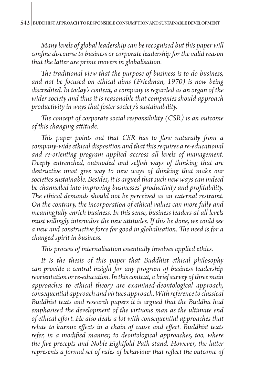*Many levels of global leadership can be recognised but this paper will confine discourse to business or corporate leadership for the valid reason that the latter are prime movers in globalisation.*

*The traditional view that the purpose of business is to do business, and not be focused on ethical aims (Friedman, 1970) is now being discredited. In today's context, a company is regarded as an organ of the wider society and thus it is reasonable that companies should approach productivity in ways that foster society's sustainability.* 

*The concept of corporate social responsibility (CSR) is an outcome of this changing attitude.* 

*This paper points out that CSR has to flow naturally from a company-wide ethical disposition and that this requires a re-educational and re-orienting program applied accross all levels of management. Deeply entrenched, outmoded and selfish ways of thinking that are destructive must give way to new ways of thinking that make our societies sustainable. Besides, it is argued that such new ways can indeed be channelled into improving businesses' productivity and profitability. The ethical demands should not be perceived as an external restraint. On the contrary, the incorporation of ethical values can more fully and meaningfully enrich business. In this sense, business leaders at all levels must willingly internalise the new attitudes. If this be done, we could see a new and constructive force for good in globalisation. The need is for a changed spirit in business.*

*This process of internalisation essentially involves applied ethics.* 

*It is the thesis of this paper that Buddhist ethical philosophy can provide a central insight for any program of business leadership reorientation or re-education. In this context, a brief survey of three main approaches to ethical theory are examined-deontological approach, consequential approach and virtues approach. With reference to classical Buddhist texts and research papers it is argued that the Buddha had emphasised the development of the virtuous man as the ultimate end of ethical effort. He also deals a lot with consequential approaches that relate to karmic effects in a chain of cause and effect. Buddhist texts refer, in a modified manner, to deontological approaches, too, where the five precepts and Noble Eightfold Path stand. However, the latter represents a formal set of rules of behaviour that reflect the outcome of*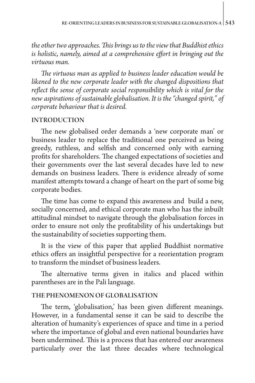*the other two approaches. This brings us to the view that Buddhist ethics is holistic, namely, aimed at a comprehensive effort in bringing out the virtuous man.* 

*The virtuous man as applied to business leader education would be likened to the new corporate leader with the changed dispositions that reflect the sense of corporate social responsibility which is vital for the new aspirations of sustainable globalisation. It is the "changed spirit," of corporate behaviour that is desired.* 

## INTRODUCTION

The new globalised order demands a 'new corporate man' or business leader to replace the traditional one perceived as being greedy, ruthless, and selfish and concerned only with earning profits for shareholders. The changed expectations of societies and their governments over the last several decades have led to new demands on business leaders. There is evidence already of some manifest attempts toward a change of heart on the part of some big corporate bodies.

The time has come to expand this awareness and build a new, socially concerned, and ethical corporate man who has the inbuilt attitudinal mindset to navigate through the globalisation forces in order to ensure not only the profitability of his undertakings but the sustainability of societies supporting them.

It is the view of this paper that applied Buddhist normative ethics offers an insightful perspective for a reorientation program to transform the mindset of business leaders.

The alternative terms given in italics and placed within parentheses are in the Pali language.

## THE PHENOMENON OF GLOBALISATION

The term, 'globalisation,' has been given different meanings. However, in a fundamental sense it can be said to describe the alteration of humanity's experiences of space and time in a period where the importance of global and even national boundaries have been undermined. This is a process that has entered our awareness particularly over the last three decades where technological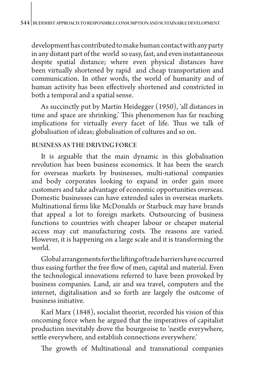development has contributed to make human contact with any party in any distant part of the world so easy, fast, and even instantaneous despite spatial distance; where even physical distances have been virtually shortened by rapid and cheap transportation and communication. In other words, the world of humanity and of human activity has been effectively shortened and constricted in both a temporal and a spatial sense.

As succinctly put by Martin Heidegger (1950), 'all distances in time and space are shrinking.' This phenomenon has far reaching implications for virtually every facet of life. Thus we talk of globalisation of ideas; globalisation of cultures and so on.

## BUSINESS AS THE DRIVING FORCE

It is arguable that the main dynamic in this globalisation revolution has been business economics. It has been the search for overseas markets by businesses, multi-national companies and body corporates looking to expand in order gain more customers and take advantage of economic opportunities overseas. Domestic businesses can have extended sales in overseas markets. Multinational firms like McDonalds or Starbuck may have brands that appeal a lot to foreign markets. Outsourcing of business functions to countries with cheaper labour or cheaper material access may cut manufacturing costs. The reasons are varied. However, it is happening on a large scale and it is transforming the world.

Global arrangements for the lifting of trade barriers have occurred thus easing further the free flow of men, capital and material. Even the technological innovations referred to have been provoked by business companies. Land, air and sea travel, computers and the internet, digitalisation and so forth are largely the outcome of business initiative.

Karl Marx (1848), socialist theorist, recorded his vision of this oncoming force when he argued that the imperatives of capitalist production inevitably drove the bourgeoise to 'nestle everywhere, settle everywhere, and establish connections everywhere.'

The growth of Multinational and transnational companies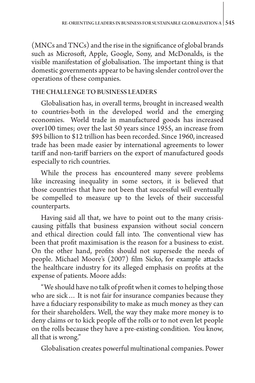(MNCs and TNCs) and the rise in the significance of global brands such as Microsoft, Apple, Google, Sony, and McDonalds, is the visible manifestation of globalisation. The important thing is that domestic governments appear to be having slender control over the operations of these companies.

# THE CHALLENGE TO BUSINESS LEADERS

Globalisation has, in overall terms, brought in increased wealth to countries-both in the developed world and the emerging economies. World trade in manufactured goods has increased over100 times; over the last 50 years since 1955, an increase from \$95 billion to \$12 trillion has been recorded. Since 1960, increased trade has been made easier by international agreements to lower tariff and non-tariff barriers on the export of manufactured goods especially to rich countries.

While the process has encountered many severe problems like increasing inequality in some sectors, it is believed that those countries that have not been that successful will eventually be compelled to measure up to the levels of their successful counterparts.

Having said all that, we have to point out to the many crisiscausing pitfalls that business expansion without social concern and ethical direction could fall into. The conventional view has been that profit maximisation is the reason for a business to exist. On the other hand, profits should not supersede the needs of people. Michael Moore's (2007) film Sicko, for example attacks the healthcare industry for its alleged emphasis on profits at the expense of patients. Moore adds:

"We should have no talk of profit when it comes to helping those who are sick… It is not fair for insurance companies because they have a fiduciary responsibility to make as much money as they can for their shareholders. Well, the way they make more money is to deny claims or to kick people off the rolls or to not even let people on the rolls because they have a pre-existing condition. You know, all that is wrong."

Globalisation creates powerful multinational companies. Power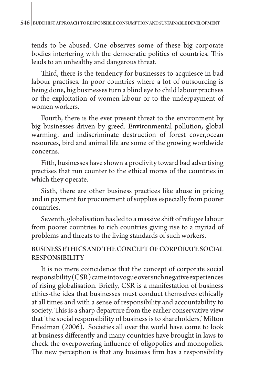tends to be abused. One observes some of these big corporate bodies interfering with the democratic politics of countries. This leads to an unhealthy and dangerous threat.

Third, there is the tendency for businesses to acquiesce in bad labour practises. In poor countries where a lot of outsourcing is being done, big businesses turn a blind eye to child labour practises or the exploitation of women labour or to the underpayment of women workers.

Fourth, there is the ever present threat to the environment by big businesses driven by greed. Environmental pollution, global warming, and indiscriminate destruction of forest cover,ocean resources, bird and animal life are some of the growing worldwide concerns.

Fifth, businesses have shown a proclivity toward bad advertising practises that run counter to the ethical mores of the countries in which they operate.

Sixth, there are other business practices like abuse in pricing and in payment for procurement of supplies especially from poorer countries.

Seventh, globalisation has led to a massive shift of refugee labour from poorer countries to rich countries giving rise to a myriad of problems and threats to the living standards of such workers.

# BUSINESS ETHICS AND THE CONCEPT OF CORPORATE SOCIAL RESPONSIBILITY

It is no mere coincidence that the concept of corporate social responsibility (CSR) came into vogue over such negative experiences of rising globalisation. Briefly, CSR is a manifestation of business ethics-the idea that businesses must conduct themselves ethically at all times and with a sense of responsibility and accountability to society. This is a sharp departure from the earlier conservative view that 'the social responsibility of business is to shareholders,' Milton Friedman (2006). Societies all over the world have come to look at business differently and many countries have brought in laws to check the overpowering influence of oligopolies and monopolies. The new perception is that any business firm has a responsibility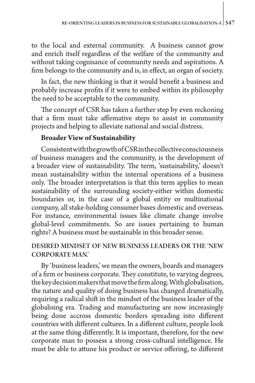to the local and external community. A business cannot grow and enrich itself regardless of the welfare of the community and without taking cognisance of community needs and aspirations. A firm belongs to the community and is, in effect, an organ of society.

In fact, the new thinking is that it would benefit a business and probably increase profits if it were to embed within its philosophy the need to be acceptable to the community.

The concept of CSR has taken a further step by even reckoning that a firm must take affirmative steps to assist in community projects and helping to alleviate national and social distress.

# **Broader View of Sustainability**

Consistent with the growth of CSR in the collective consciousness of business managers and the community, is the development of a broader view of sustainability. The term, 'sustainability,' doesn't mean sustainability within the internal operations of a business only. The broader interpretation is that this term applies to mean sustainability of the surrounding society-either within domestic boundaries or, in the case of a global entity or multinational company, all stake-holding consumer bases domestic and overseas. For instance, environmental issues like climate change involve global-level commitments. So are issues pertaining to human rights? A business must be sustainable in this broader sense.

# DESIRED MINDSET OF NEW BUSINESS LEADERS OR THE 'NEW CORPORATE MAN.'

By 'business leaders,' we mean the owners, boards and managers of a firm or business corporate. They constitute, to varying degrees, the key decision makers that move the firm along. With globalisation, the nature and quality of doing business has changed dramatically, requiring a radical shift in the mindset of the business leader of the globalising era. Trading and manufacturing are now increasingly being done accross domestic borders spreading into different countries with different cultures. In a different culture, people look at the same thing differently. It is important, therefore, for the new corporate man to possess a strong cross-cultural intelligence. He must be able to attune his product or service offering, to different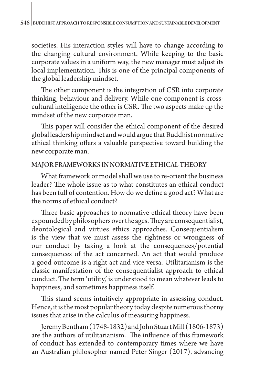societies. His interaction styles will have to change according to the changing cultural environment. While keeping to the basic corporate values in a uniform way, the new manager must adjust its local implementation. This is one of the principal components of the global leadership mindset.

The other component is the integration of CSR into corporate thinking, behaviour and delivery. While one component is crosscultural intelligence the other is CSR. The two aspects make up the mindset of the new corporate man.

This paper will consider the ethical component of the desired global leadership mindset and would argue that Buddhist normative ethical thinking offers a valuable perspective toward building the new corporate man.

## MAJOR FRAMEWORKS IN NORMATIVE ETHICAL THEORY

What framework or model shall we use to re-orient the business leader? The whole issue as to what constitutes an ethical conduct has been full of contention. How do we define a good act? What are the norms of ethical conduct?

Three basic approaches to normative ethical theory have been expounded by philosophers over the ages. They are consequentialist, deontological and virtues ethics approaches. Consequentialism is the view that we must assess the rightness or wrongness of our conduct by taking a look at the consequences/potential consequences of the act concerned. An act that would produce a good outcome is a right act and vice versa. Utilitarianism is the classic manifestation of the consequentialist approach to ethical conduct. The term 'utility,' is understood to mean whatever leads to happiness, and sometimes happiness itself.

This stand seems intuitively appropriate in assessing conduct. Hence, it is the most popular theory today despite numerous thorny issues that arise in the calculus of measuring happiness.

Jeremy Bentham (1748-1832) and John Stuart Mill (1806-1873) are the authors of utilitarianism. The influence of this framework of conduct has extended to contemporary times where we have an Australian philosopher named Peter Singer (2017), advancing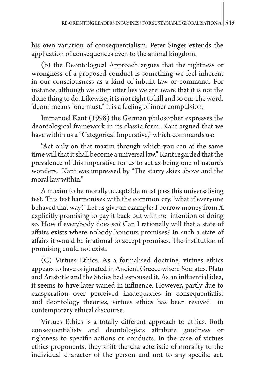his own variation of consequentialism. Peter Singer extends the application of consequences even to the animal kingdom.

(b) the Deontological Approach argues that the rightness or wrongness of a proposed conduct is something we feel inherent in our consciousness as a kind of inbuilt law or command. For instance, although we often utter lies we are aware that it is not the done thing to do. Likewise, it is not right to kill and so on. The word, 'deon,' means "one must." It is a feeling of inner compulsion.

Immanuel Kant (1998) the German philosopher expresses the deontological framework in its classic form. Kant argued that we have within us a "Categorical Imperative," which commands us:

"Act only on that maxim through which you can at the same time will that it shall become a universal law." Kant regarded that the prevalence of this imperative for us to act as being one of nature's wonders. Kant was impressed by "The starry skies above and the moral law within."

A maxim to be morally acceptable must pass this universalising test. This test harmonises with the common cry, 'what if everyone behaved that way?' Let us give an example: I borrow money from X explicitly promising to pay it back but with no intention of doing so. How if everybody does so? Can I rationally will that a state of affairs exists where nobody honours promises? In such a state of affairs it would be irrational to accept promises. The institution of promising could not exist.

(C) Virtues Ethics. As a formalised doctrine, virtues ethics appears to have originated in Ancient Greece where Socrates, Plato and Aristotle and the Stoics had espoused it. As an influential idea, it seems to have later waned in influence. However, partly due to exasperation over perceived inadequacies in consequentialist and deontology theories, virtues ethics has been revived in contemporary ethical discourse.

Virtues Ethics is a totally different approach to ethics. Both consequentialists and deontologists attribute goodness or rightness to specific actions or conducts. In the case of virtues ethics proponents, they shift the characteristic of morality to the individual character of the person and not to any specific act.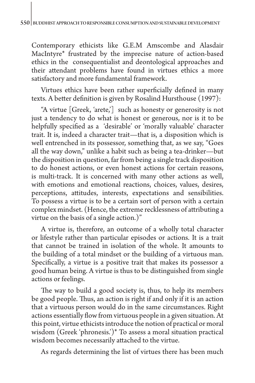Contemporary ethicists like G.E.M Amscombe and Alasdair MacIntyre\* frustrated by the imprecise nature of action-based ethics in the consequentialist and deontological approaches and their attendant problems have found in virtues ethics a more satisfactory and more fundamental framework.

Virtues ethics have been rather superficially defined in many texts. A better definition is given by Rosalind Hursthouse (1997):

"A virtue [Greek, 'arete,'] such as honesty or generosity is not just a tendency to do what is honest or generous, nor is it to be helpfully specified as a 'desirable' or 'morally valuable' character trait. It is, indeed a character trait—that is, a disposition which is well entrenched in its possessor, something that, as we say, "Goes all the way down," unlike a habit such as being a tea-drinker—but the disposition in question, far from being a single track disposition to do honest actions, or even honest actions for certain reasons, is multi-track. It is concerned with many other actions as well, with emotions and emotional reactions, choices, values, desires, perceptions, attitudes, interests, expectations and sensibilities. To possess a virtue is to be a certain sort of person with a certain complex mindset. (Hence, the extreme recklessness of attributing a virtue on the basis of a single action.)"

A virtue is, therefore, an outcome of a wholly total character or lifestyle rather than particular episodes or actions. It is a trait that cannot be trained in isolation of the whole. It amounts to the building of a total mindset or the building of a virtuous man. Specifically, a virtue is a positive trait that makes its possessor a good human being. A virtue is thus to be distinguished from single actions or feelings.

The way to build a good society is, thus, to help its members be good people. Thus, an action is right if and only if it is an action that a virtuous person would do in the same circumstances. Right actions essentially flow from virtuous people in a given situation. At this point, virtue ethicists introduce the notion of practical or moral wisdom (Greek 'phronesis.')\* To assess a moral situation practical wisdom becomes necessarily attached to the virtue.

As regards determining the list of virtues there has been much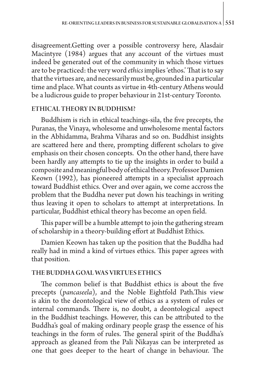disagreement.Getting over a possible controversy here, Alasdair Macintyre (1984) argues that any account of the virtues must indeed be generated out of the community in which those virtues are to be practiced: the very word *ethics* implies 'ethos.' That is to say that the virtues are, and necessarily must be, grounded in a particular time and place. What counts as virtue in 4th-century Athens would be a ludicrous guide to proper behaviour in 21st-century Toronto.

## ETHICAL THEORY IN BUDDHISM?

Buddhism is rich in ethical teachings-sila, the five precepts, the Puranas, the Vinaya, wholesome and unwholesome mental factors in the Abhidamma, Brahma Viharas and so on. Buddhist insights are scattered here and there, prompting different scholars to give emphasis on their chosen concepts. On the other hand, there have been hardly any attempts to tie up the insights in order to build a composite and meaningful body of ethical theory. Professor Damien Keown (1992), has pioneered attempts in a specialist approach toward Buddhist ethics. Over and over again, we come accross the problem that the Buddha never put down his teachings in writing thus leaving it open to scholars to attempt at interpretations. In particular, Buddhist ethical theory has become an open field.

This paper will be a humble attempt to join the gathering stream of scholarship in a theory-building effort at Buddhist Ethics.

Damien Keown has taken up the position that the Buddha had really had in mind a kind of virtues ethics. This paper agrees with that position.

#### THE BUDDHA GOAL WAS VIRTUES ETHICS

The common belief is that Buddhist ethics is about the five precepts (*pancaseela*), and the Noble Eightfold Path.This view is akin to the deontological view of ethics as a system of rules or internal commands. There is, no doubt, a deontological aspect in the Buddhist teachings. However, this can be attributed to the Buddha's goal of making ordinary people grasp the essence of his teachings in the form of rules. The general spirit of the Buddha's approach as gleaned from the Pali Nikayas can be interpreted as one that goes deeper to the heart of change in behaviour. The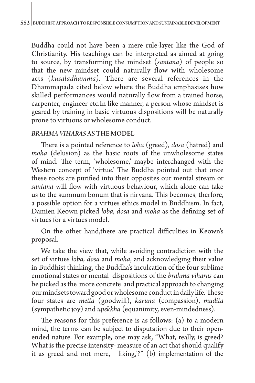Buddha could not have been a mere rule-layer like the God of Christianity. His teachings can be interpreted as aimed at going to source, by transforming the mindset (*santana*) of people so that the new mindset could naturally flow with wholesome acts (*kusaladhamma).* There are several references in the Dhammapada cited below where the Buddha emphasises how skilled performances would naturally flow from a trained horse, carpenter, engineer etc.In like manner, a person whose mindset is geared by training in basic virtuous dispositions will be naturally prone to virtuous or wholesome conduct.

#### *BRAHMA VIHARAS* AS THE MODEL

There is a pointed reference to *loba* (greed), *dosa* (hatred) and *moha* (delusion) as the basic roots of the unwholesome states of mind. The term, 'wholesome,' maybe interchanged with the Western concept of 'virtue.' The Buddha pointed out that once these roots are purified into their opposites our mental stream or *santana* will flow with virtuous behaviour, which alone can take us to the summum bonum that is nirvana. This becomes, therfore, a possible option for a virtues ethics model in Buddhism. In fact, Damien Keown picked *loba, dosa* and *moha* as the defining set of virtues for a virtues model.

On the other hand,there are practical difficulties in Keown's proposal.

We take the view that, while avoiding contradiction with the set of virtues *loba, dosa* and *moha*, and acknowledging their value in Buddhist thinking, the Buddha's inculcation of the four sublime emotional states or mental dispositions of the *brahma viharas* can be picked as the more concrete and practical approach to changing our mindsets toward good or wholesome conduct in daily life. These four states are *metta* (goodwill), *karuna* (compassion), *mudita*  (sympathetic joy) and *upekkha* (equanimity, even-mindedness).

The reasons for this preference is as follows: (a) to a modern mind, the terms can be subject to disputation due to their openended nature. For example, one may ask, "What, really, is greed? What is the precise intensity- measure of an act that should qualify it as greed and not mere, 'liking,'?" (b) implementation of the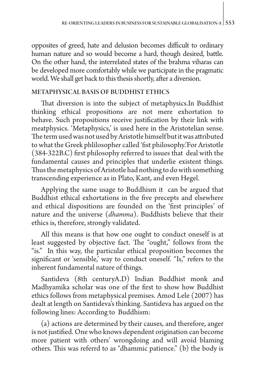opposites of greed, hate and delusion becomes difficult to ordinary human nature and so would become a hard, though desired, battle. On the other hand, the interrelated states of the brahma viharas can be developed more comfortably while we participate in the pragmatic world. We shall get back to this thesis shortly, after a diversion.

# METAPHYSICAL BASIS OF BUDDHIST ETHICS

That diversion is into the subject of metaphysics.In Buddhist thinking ethical propositions are not mere exhortation to behave. Such propositions receive justification by their link with meatphysics. 'Metaphysics,' is used here in the Aristotelian sense. The term used was not used by Aristotle himself but it was attributed to what the Greek phlilosopher called 'fist philosophy.'For Aristotle (384-322B.C) first philosophy referred to issues that deal with the fundamental causes and principles that underlie existent things. Thus the metaphysics of Aristotle had nothing to do with something transcending experience as in Plato, Kant, and even Hegel.

Applying the same usage to Buddhism it can be argued that Buddhist ethical exhortations in the five precepts and elsewhere and ethical dispositions are founded on the 'first principles' of nature and the universe (*dhamma*). Buddhists believe that their ethics is, therefore, strongly validated.

All this means is that how one ought to conduct oneself is at least suggested by objective fact. The "ought," follows from the "is." In this way, the particular ethical proposition becomes the significant or 'sensible,' way to conduct oneself. "Is," refers to the inherent fundamental nature of things.

Santideva (8th centuryA.D) Indian Buddhist monk and Madhyamika scholar was one of the first to show how Buddhist ethics follows from metaphysical premises. Amod Lele (2007) has dealt at length on Santideva's thinking. Santideva has argued on the following lines: According to Buddhism:

(a) actions are determined by their causes, and therefore, anger is not justified. One who knows dependent origination can become more patient with others' wrongdoing and will avoid blaming others. This was referrd to as "dhammic patience." (b) the body is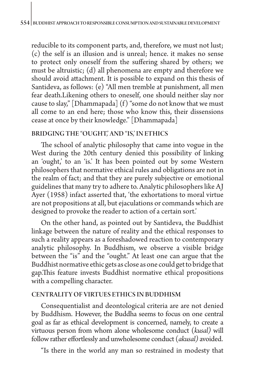reducible to its component parts, and, therefore, we must not lust; (c) the self is an illusion and is unreal; hence. it makes no sense to protect only oneself from the suffering shared by others; we must be altruistic; (d) all phenomena are empty and therefore we should avoid attachment. It is possible to expand on this thesis of Santideva, as follows: (e) "All men tremble at punishment, all men fear death.Likening others to oneself, one should neither slay nor cause to slay,"  $\lceil$ Dhammapada $\rceil$  (f) "some do not know that we must all come to an end here; those who know this, their dissensions cease at once by their knowledge." [Dhammapada]

## BRIDGING THE "OUGHT,' AND "IS,' IN ETHICS

The school of analytic philosophy that came into vogue in the West during the 20th century denied this possibility of linking an 'ought,' to an 'is.' It has been pointed out by some Western philosophers that normative ethical rules and obligations are not in the realm of fact; and that they are purely subjective or emotional guidelines that many try to adhere to. Analytic philosophers like AJ Ayer (1958) infact asserted that, 'the exhortations to moral virtue are not propositions at all, but ejaculations or commands which are designed to provoke the reader to action of a certain sort.'

On the other hand, as pointed out by Santideva, the Buddhist linkage between the nature of reality and the ethical responses to such a reality appears as a foreshadowed reaction to contemporary analytic philosophy. In Buddhism, we observe a visible bridge between the "is" and the "ought." At least one can argue that the Buddhist normative ethic gets as close as one could get to bridge that gap.This feature invests Buddhist normative ethical propositions with a compelling character.

## CENTRALITY OF VIRTUES ETHICS IN BUDDHISM

Consequentialist and deontological criteria are are not denied by Buddhism. However, the Buddha seems to focus on one central goal as far as ethical development is concerned, namely, to create a virtuous person from whom alone wholesome conduct (*kusal)* will follow rather effortlessly and unwholesome conduct (*akusal)* avoided.

"Is there in the world any man so restrained in modesty that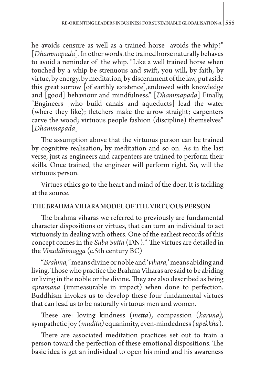he avoids censure as well as a trained horse avoids the whip?" [*Dhammapada*]. In other words, the trained horse naturally behaves to avoid a reminder of the whip. "Like a well trained horse when touched by a whip be strenuous and swift, you will, by faith, by virtue, by energy, by meditation, by discernment of the law, put aside this great sorrow [of earthly existence],endowed with knowledge and [good] behaviour and mindfulness." [*Dhammapada*] Finally, "Engineers [who build canals and aqueducts] lead the water (where they like); fletchers make the arrow straight; carpenters carve the wood; virtuous people fashion (discipline) themselves" [*Dhammapada*]

The assumption above that the virtuous person can be trained by cognitive realisation, by meditation and so on. As in the last verse, just as engineers and carpenters are trained to perform their skills. Once trained, the engineer will perform right. So, will the virtuous person.

Virtues ethics go to the heart and mind of the doer. It is tackling at the source.

## THE BRAHMA VIHARA MODEL OF THE VIRTUOUS PERSON

The brahma viharas we referred to previously are fundamental character dispositions or virtues, that can turn an individual to act virtuously in dealing with others. One of the earliest records of this concept comes in the *Suba Sutta* (DN).\* The virtues are detailed in the *Visuddhimagga* (c.5th century BC)

"*Brahma,"* means divine or noble and '*vihara,*' means abiding and living. Those who practice the Brahma Viharas are said to be abiding or living in the noble or the divine. They are also described as being *apramana* (immeasurable in impact) when done to perfection. Buddhism invokes us to develop these four fundamental virtues that can lead us to be naturally virtuous men and women.

These are: loving kindness (*metta*), compassion (*karuna),*  sympathetic joy (*mudita)* equanimity, even-mindedness (*upekkha*).

There are associated meditation practices set out to train a person toward the perfection of these emotional dispositions. The basic idea is get an individual to open his mind and his awareness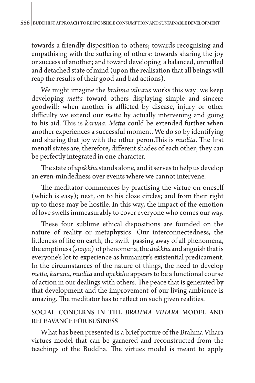towards a friendly disposition to others; towards recognising and empathising with the suffering of others; towards sharing the joy or success of another; and toward developing a balanced, unruffled and detached state of mind (upon the realisation that all beings will reap the results of their good and bad actions).

We might imagine the *brahma viharas* works this way: we keep developing *metta* toward others displaying simple and sincere goodwill; when another is afflicted by disease, injury or other difficulty we extend our *metta* by actually intervening and going to his aid. This is *karuna*. *Metta* could be extended further when another experiences a successful moment. We do so by identifying and sharing that joy with the other peron.This is *mudita*. The first menatl states are, therefore, different shades of each other; they can be perfectly integrated in one character.

The state of *upekkha* stands alone, and it serves to help us develop an even-mindedness over events where we cannot intervene.

The meditator commences by practising the virtue on oneself (which is easy); next, on to his close circles; and from their right up to those may be hostile. In this way, the impact of the emotion of love swells immeasurably to cover everyone who comes our way.

These four sublime ethical dispositions are founded on the nature of reality or metaphysics: Our interconnectedness, the littleness of life on earth, the swift passing away of all phenomena, the emptiness (*sunya*) of phenomena, the *dukkha* and anguish that is everyone's lot to experience as humanity's existential predicament. In the circumstances of the nature of things, the need to develop *metta, karuna, mudita* and *upekkha* appears to be a functional course of action in our dealings with others. The peace that is generated by that development and the improvement of our living ambience is amazing. The meditator has to reflect on such given realities.

# SOCIAL CONCERNS IN THE *BRAHMA VIHARA* MODEL AND RELEAVANCE FOR BUSINESS

What has been presented is a brief picture of the Brahma Vihara virtues model that can be garnered and reconstructed from the teachings of the Buddha. The virtues model is meant to apply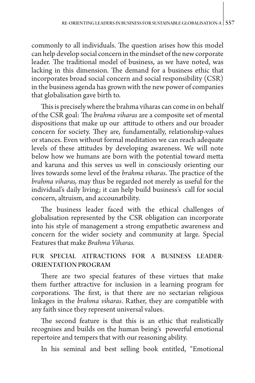commonly to all individuals. The question arises how this model can help develop social concern in the mindset of the new corporate leader. The traditional model of business, as we have noted, was lacking in this dimension. The demand for a business ethic that incorporates broad social concern and social responsibility (CSR) in the business agenda has grown with the new power of companies that globalisation gave birth to.

This is precisely where the brahma viharas can come in on behalf of the CSR goal: The *brahma viharas* are a composite set of mental dispositions that make up our attitude to others and our broader concern for society. They are, fundamentally, relationship-values or stances. Even without formal meditation we can reach adequate levels of these attitudes by developing awareness. We will note below how we humans are born with the potential toward metta and karuna and this serves us well in consciously orienting our lives towards some level of the *brahma viharas*. The practice of the *brahma viharas,* may thus be regarded not merely as useful for the individual's daily living; it can help build business's call for social concern, altruism, and accounatbility.

The business leader faced with the ethical challenges of globalisation represented by the CSR obligation can incorporate into his style of management a strong empathetic awareness and concern for the wider society and community at large. Special Features that make *Brahma Viharas.*

# FUR SPECIAL ATTRACTIONS FOR A BUSINESS LEADER-ORIENTATION PROGRAM

There are two special features of these virtues that make them further attractive for inclusion in a learning program for corporations. The first, is that there are no sectarian religious linkages in the *brahma viharas*. Rather, they are compatible with any faith since they represent universal values.

The second feature is that this is an ethic that realistically recognises and builds on the human being's powerful emotional repertoire and tempers that with our reasoning ability.

In his seminal and best selling book entitled, "Emotional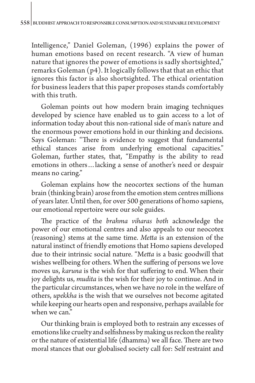Intelligence," Daniel Goleman, (1996) explains the power of human emotions based on recent research. "A view of human nature that ignores the power of emotions is sadly shortsighted," remarks Goleman (p4). It logically follows that that an ethic that ignores this factor is also shortsighted. The ethical orientation for business leaders that this paper proposes stands comfortably with this truth.

Goleman points out how modern brain imaging techniques developed by science have enabled us to gain access to a lot of information today about this non-rational side of man's nature and the enormous power emotions hold in our thinking and decisions. Says Goleman: "There is evidence to suggest that fundamental ethical stances arise from underlying emotional capacities." Goleman, further states, that, "Empathy is the ability to read emotions in others…lacking a sense of another's need or despair means no caring."

Goleman explains how the neocortex sections of the human brain (thinking brain) arose from the emotion stem centres millions of years later. Until then, for over 500 generations of homo sapiens, our emotional repertoire were our sole guides.

The practice of the *brahma viharas both* acknowledge the power of our emotional centres and also appeals to our neocotex (reasoning) stems at the same time. *Metta* is an extension of the natural instinct of friendly emotions that Homo sapiens developed due to their intrinsic social nature. "M*etta* is a basic goodwill that wishes wellbeing for others. When the suffering of persons we love moves us, *karuna* is the wish for that suffering to end. When their joy delights us, *mudita* is the wish for their joy to continue. And in the particular circumstances, when we have no role in the welfare of others, *upekkha* is the wish that we ourselves not become agitated while keeping our hearts open and responsive, perhaps available for when we can."

Our thinking brain is employed both to restrain any excesses of emotions like cruelty and selfishness by making us reckon the reality or the nature of existential life (dhamma) we all face. There are two moral stances that our globalised society call for: Self restraint and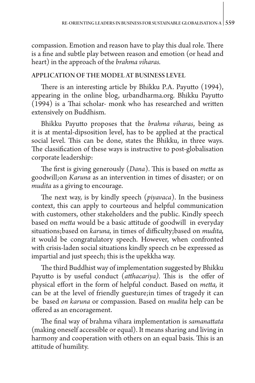compassion. Emotion and reason have to play this dual role. There is a fine and subtle play between reason and emotion (or head and heart) in the approach of the *brahma viharas.*

## APPLICATION OF THE MODEL AT BUSINESS LEVEL

There is an interesting article by Bhikku P.A. Payutto (1994), appearing in the online blog, [urbandharma.org.](http://urbandharma.org) Bhikku Payutto (1994) is a Thai scholar- monk who has researched and written extensively on Buddhism.

Bhikku Payutto proposes that the *brahma viharas*, being as it is at mental-dipsosition level, has to be applied at the practical social level. This can be done, states the Bhikku, in three ways. The classification of these ways is instructive to post-globalisation corporate leadership:

The first is giving generously (*Dana*). This is based on *metta* as goodwill;on *Karuna* as an intervention in times of disaster; or on *mudita* as a giving to encourage.

The next way, is by kindly speech (*piyavaca*). In the business context, this can apply to courteous and helpful communication with customers, other stakeholders and the public. Kindly speech based on *metta* would be a basic attitude of goodwill in everyday situations;based on *karuna,* in times of difficulty;based on *mudita,*  it would be congratulatory speech. However, when confronted with crisis-laden social situations kindly speech cn be expressed as impartial and just speech; this is the upekkha way.

The third Buddhist way of implementation suggested by Bhikku Payutto is by useful conduct (*atthacariya).* This is the offer of physical effort in the form of helpful conduct*.* Based on *metta,* it can be at the level of friendly guesture;in times of tragedy it can be based *on karuna* or compassion. Based on *mudita* help can be offered as an encoragement.

The final way of brahma vihara implementation is *samanattata*  (making oneself accessible or equal). It means sharing and living in harmony and cooperation with others on an equal basis. This is an attitude of humility.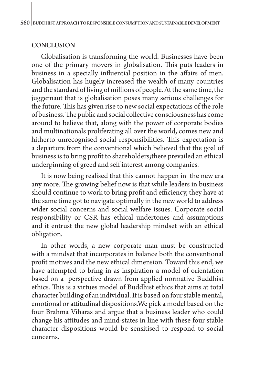#### **CONCLUSION**

Globalisation is transforming the world. Businesses have been one of the primary movers in globalisation. This puts leaders in business in a specially influential position in the affairs of men. Globalisation has hugely increased the wealth of many countries and the standard of living of millions of people. At the same time, the juggernaut that is globalisation poses many serious challenges for the future. This has given rise to new social expectations of the role of business. The public and social collective consciousness has come around to believe that, along with the power of corporate bodies and multinationals proliferating all over the world, comes new and hitherto unrecognised social responsibilities. This expectation is a departure from the conventional which believed that the goal of business is to bring profit to shareholders;there prevailed an ethical underpinning of greed and self interest among companies.

It is now being realised that this cannot happen in the new era any more. The growing belief now is that while leaders in business should continue to work to bring profit and efficiency, they have at the same time got to navigate optimally in the new world to address wider social concerns and social welfare issues. Corporate social responsibility or CSR has ethical undertones and assumptions and it entrust the new global leadership mindset with an ethical obligation.

In other words, a new corporate man must be constructed with a mindset that incorporates in balance both the conventional profit motives and the new ethical dimension. Toward this end, we have attempted to bring in as inspiration a model of orientation based on a perspective drawn from applied normative Buddhist ethics. This is a virtues model of Buddhist ethics that aims at total character building of an individual. It is based on four stable mental, emotional or attitudinal dispositions.We pick a model based on the four Brahma Viharas and argue that a business leader who could change his attitudes and mind-states in line with these four stable character dispositions would be sensitised to respond to social concerns.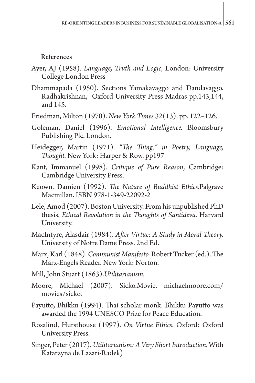References

- Ayer, AJ (1958). *Language, Truth and Logic,* London: University College London Press
- Dhammapada (1950). Sections Yamakavaggo and Dandavaggo. Radhakrishnan, Oxford University Press Madras pp.143,144, and 145.
- Friedman, Milton (1970). *New York Times* 32(13). pp. 122–126.
- Goleman, Daniel (1996). *Emotional Intelligence.* Bloomsbury Publishing Plc. London.
- Heidegger, Martin (1971). *"The Thing," in Poetry, Language, Thought.* New York: Harper & Row. pp197
- Kant, Immanuel (1998). *Critique of Pure Reason*, Cambridge: Cambridge University Press.
- Keown, Damien (1992). *The Nature of Buddhist Ethics.*Palgrave Macmillan. ISBN 978-1-349-22092-2
- Lele, Amod (2007). Boston University. From his unpublished PhD thesis. *Ethical Revolution in the Thoughts of Santideva.* Harvard University.
- MacIntyre, Alasdair (1984). *After Virtue: A Study in Moral Theory.*  University of Notre Dame Press. 2nd Ed.
- Marx, Karl (1848). *Communist Manifesto.* Robert Tucker (ed.). The Marx-Engels Reader. New York: Norton.
- Mill, John Stuart (1863).*Utilitarianism.*
- Moore, Michael (2007). Sicko.Movie. [michaelmoore.com/](http://michaelmoore.com/movies/sicko) [movies/sicko.](http://michaelmoore.com/movies/sicko)
- Payutto, Bhikku (1994). Thai scholar monk. Bhikku Payutto was awarded the 1994 UNESCO Prize for Peace Education.
- Rosalind, Hursthouse (1997). *On Virtue Ethics*. Oxford: Oxford University Press.
- Singer, Peter (2017). *Utilitarianism: A Very Short Introduction.* With Katarzyna de Lazari-Radek)